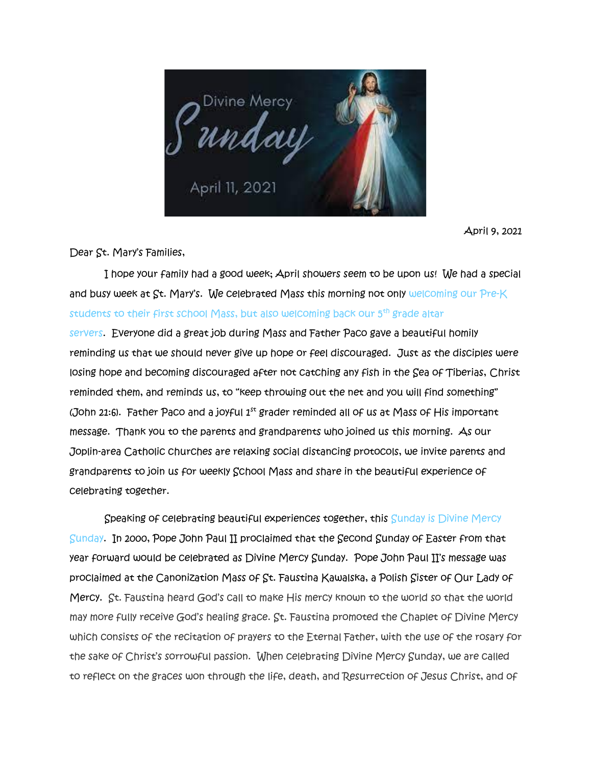

April 9, 2021

Dear St. Mary's Families,

 I hope your family had a good week; April showers seem to be upon us! We had a special and busy week at  $\overline{S}$ t. Mary's. We celebrated Mass this morning not only welcoming our Pre-K students to their first school Mass, but also welcoming back our 5th grade altar servers. Everyone did a great job during Mass and Father Paco gave a beautiful homily reminding us that we should never give up hope or feel discouraged. Just as the disciples were losing hope and becoming discouraged after not catching any fish in the Sea of Tiberias, Christ reminded them, and reminds us, to "keep throwing out the net and you will find something" (John 21:6). Father Paco and a joyful  $1^{st}$  grader reminded all of us at Mass of His important message. Thank you to the parents and grandparents who joined us this morning. As our Joplin-area Catholic churches are relaxing social distancing protocols, we invite parents and grandparents to join us for weekly School Mass and share in the beautiful experience of celebrating together.

Speaking of celebrating beautiful experiences together, this Sunday is Divine Mercy Sunday. In 2000, Pope John Paul II proclaimed that the Second Sunday of Easter from that year forward would be celebrated as Divine Mercy Sunday. Pope John Paul II's message was proclaimed at the Canonization Mass of St. Faustina Kawalska, a Polish Sister of Our Lady of Mercy. St. Faustina heard God's call to make His mercy known to the world so that the world may more fully receive God's healing grace. St. Faustina promoted the Chaplet of Divine Mercy which consists of the recitation of prayers to the Eternal Father, with the use of the rosary for the sake of Christ's sorrowful passion. When celebrating Divine Mercy Sunday, we are called to reflect on the graces won through the life, death, and Resurrection of Jesus Christ, and of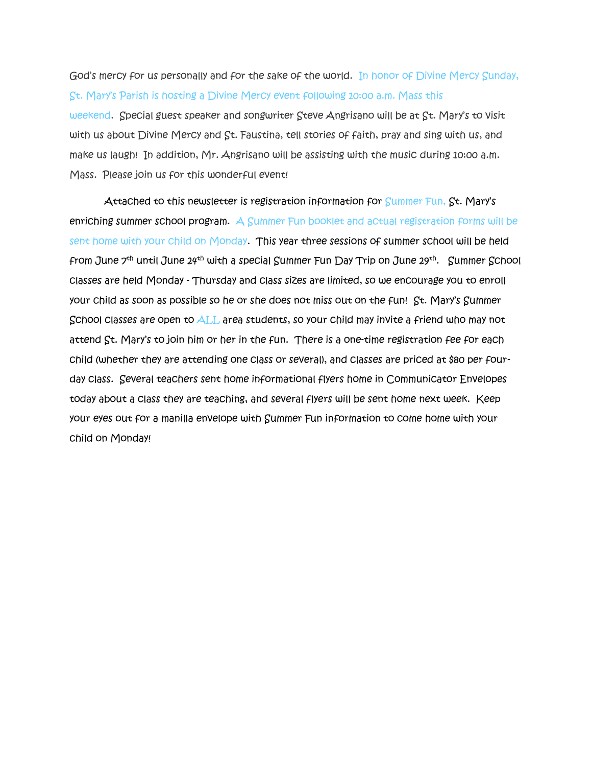## God's mercy for us personally and for the sake of the world. In honor of Divine Mercy Sunday, St. Mary's Parish is hosting a Divine Mercy event following 10:00 a.m. Mass this

weekend. Special guest speaker and songwriter Steve Angrisano will be at St. Mary's to visit with us about Divine Mercy and St. Faustina, tell stories of faith, pray and sing with us, and make us laugh! In addition, Mr. Angrisano will be assisting with the music during 10:00 a.m. Mass. Please join us for this wonderful event!

Attached to this newsletter is registration information for Summer Fun, St. Mary's enriching summer school program. A Summer Fun booklet and actual registration forms will be sent home with your child on Monday. This year three sessions of summer school will be held from June 7<sup>th</sup> until June 24<sup>th</sup> with a special Summer Fun Day Trip on June 29<sup>th</sup>. Summer School classes are held Monday - Thursday and class sizes are limited, so we encourage you to enroll your child as soon as possible so he or she does not miss out on the fun! St. Mary's Summer School classes are open to ALL area students, so your child may invite a friend who may not attend St. Mary's to join him or her in the fun. There is a one-time registration fee for each child (whether they are attending one class or several), and classes are priced at \$80 per fourday class. Several teachers sent home informational flyers home in Communicator Envelopes today about a class they are teaching, and several flyers will be sent home next week. Keep your eyes out for a manilla envelope with Summer Fun information to come home with your child on Monday!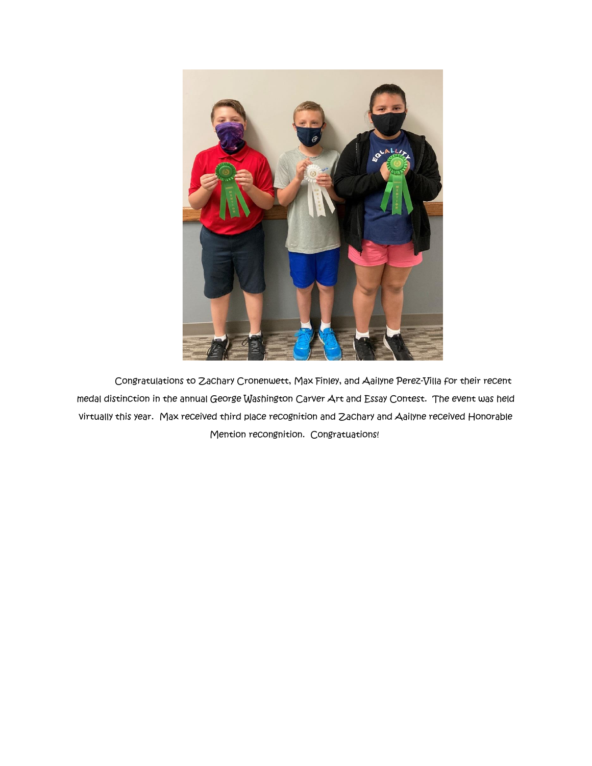

Congratulations to Zachary Cronenwett, Max Finley, and Aailyne Perez-Villa for their recent medal distinction in the annual George Washington Carver Art and Essay Contest. The event was held virtually this year. Max received third place recognition and Zachary and Aailyne received Honorable Mention recongnition. Congratuations!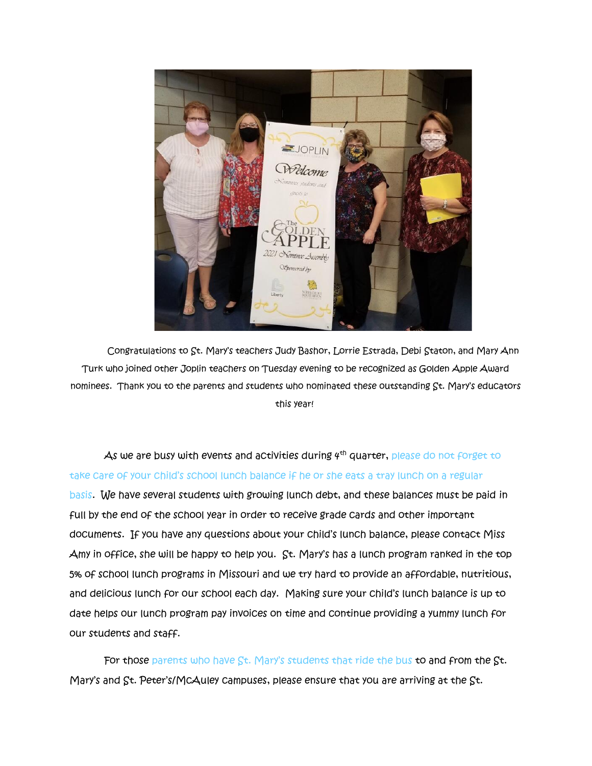

Congratulations to St. Mary's teachers Judy Bashor, Lorrie Estrada, Debi Staton, and Mary Ann Turk who joined other Joplin teachers on Tuesday evening to be recognized as Golden Apple Award nominees. Thank you to the parents and students who nominated these outstanding St. Mary's educators this year!

As we are busy with events and activities during  $4<sup>th</sup>$  quarter, please do not forget to take care of your child's school lunch balance if he or she eats a tray lunch on a regular basis. We have several students with growing lunch debt, and these balances must be paid in full by the end of the school year in order to receive grade cards and other important documents. If you have any questions about your child's lunch balance, please contact Miss Amy in office, she will be happy to help you. St. Mary's has a lunch program ranked in the top 5% of school lunch programs in Missouri and we try hard to provide an affordable, nutritious, and delicious lunch for our school each day. Making sure your child's lunch balance is up to date helps our lunch program pay invoices on time and continue providing a yummy lunch for our students and staff.

For those parents who have St. Mary's students that ride the bus to and from the St. Mary's and St. Peter's/McAuley campuses, please ensure that you are arriving at the St.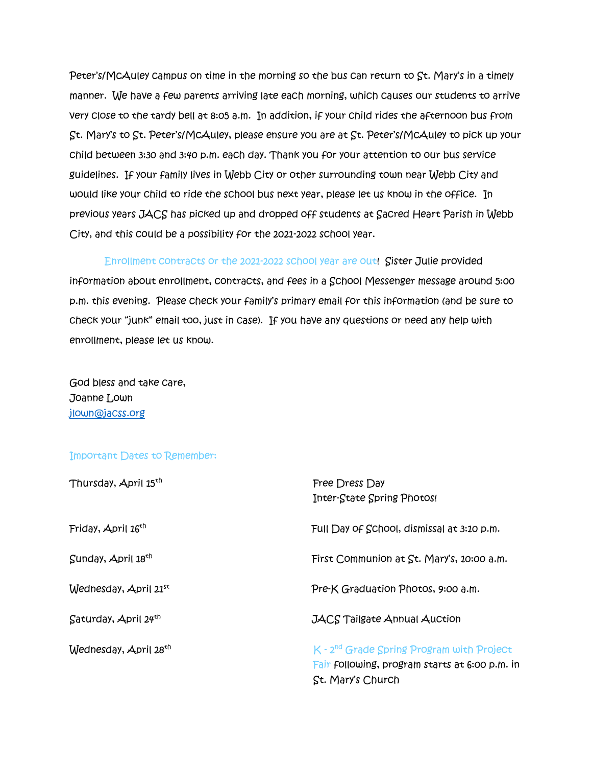Peter's/McAuley campus on time in the morning so the bus can return to St. Mary's in a timely manner. We have a few parents arriving late each morning, which causes our students to arrive very close to the tardy bell at 8:05 a.m. In addition, if your child rides the afternoon bus from St. Mary's to St. Peter's/McAuley, please ensure you are at St. Peter's/McAuley to pick up your child between 3:30 and 3:40 p.m. each day. Thank you for your attention to our bus service guidelines. If your family lives in Webb City or other surrounding town near Webb City and would like your child to ride the school bus next year, please let us know in the office. In previous years JACS has picked up and dropped off students at Sacred Heart Parish in Webb City, and this could be a possibility for the 2021-2022 school year.

Enrollment contracts or the 2021-2022 school year are out! Sister Julie provided information about enrollment, contracts, and fees in a School Messenger message around 5:00 p.m. this evening. Please check your family's primary email for this information (and be sure to check your "junk" email too, just in case). If you have any questions or need any help with enrollment, please let us know.

God bless and take care, Joanne Lown [jlown@jacss.org](mailto:jlown@jacss.org)

## Important Dates to Remember:

| Thursday, April 15th              | Free Dress Day<br>Inter-State Spring Photos!                                                                       |
|-----------------------------------|--------------------------------------------------------------------------------------------------------------------|
| Friday, April 16 <sup>th</sup>    | Full Day of School, dismissal at 3:10 p.m.                                                                         |
| Sunday, April 18 <sup>th</sup>    | First Communion at St. Mary's, 10:00 a.m.                                                                          |
| $W$ ednesday, April 21st          | Pre-K Graduation Photos, 9:00 a.m.                                                                                 |
| $S$ aturday, April $24th$         | <b>JACS Tailgate Annual Auction</b>                                                                                |
| Wednesday, April 28 <sup>th</sup> | $K - 2nd$ Grade Spring Program with Project<br>Fair following, program starts at 6:00 p.m. in<br>St. Mary's Church |